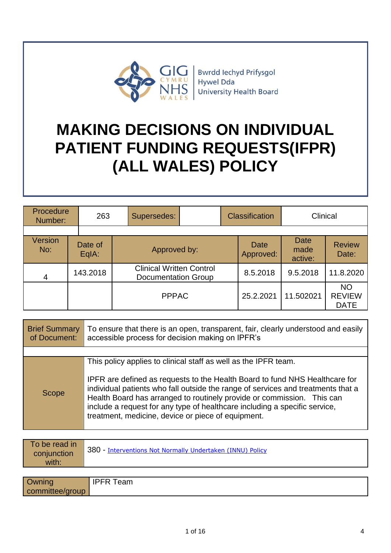

# **MAKING DECISIONS ON INDIVIDUAL PATIENT FUNDING REQUESTS(IFPR) (ALL WALES) POLICY**

| Procedure<br>Number:  | 263              | Supersedes:  |                                                        | <b>Classification</b> | Clinical                       |                                           |
|-----------------------|------------------|--------------|--------------------------------------------------------|-----------------------|--------------------------------|-------------------------------------------|
|                       |                  |              |                                                        |                       |                                |                                           |
| <b>Version</b><br>No: | Date of<br>EqIA: | Approved by: |                                                        | Date<br>Approved:     | <b>Date</b><br>made<br>active: | <b>Review</b><br>Date:                    |
| $\overline{4}$        | 143.2018         |              | <b>Clinical Written Control</b><br>Documentation Group |                       | 9.5.2018                       | 11.8.2020                                 |
|                       |                  | <b>PPPAC</b> |                                                        | 25.2.2021             | 11.502021                      | <b>NO</b><br><b>REVIEW</b><br><b>DATE</b> |

| <b>Brief Summary</b><br>of Document: | To ensure that there is an open, transparent, fair, clearly understood and easily<br>accessible process for decision making on IPFR's                                                                                                                                                                        |  |
|--------------------------------------|--------------------------------------------------------------------------------------------------------------------------------------------------------------------------------------------------------------------------------------------------------------------------------------------------------------|--|
|                                      |                                                                                                                                                                                                                                                                                                              |  |
| Scope                                | This policy applies to clinical staff as well as the IPFR team.<br>IPFR are defined as requests to the Health Board to fund NHS Healthcare for<br>individual patients who fall outside the range of services and treatments that a<br>Health Board has arranged to routinely provide or commission. This can |  |
|                                      | include a request for any type of healthcare including a specific service,<br>treatment, medicine, device or piece of equipment.                                                                                                                                                                             |  |

| To be read in<br>conjunction<br>with: | 380 - Interventions Not Normally Undertaken (INNU) Policy |
|---------------------------------------|-----------------------------------------------------------|
|                                       |                                                           |
| Owning                                | <b>IPFR Team</b>                                          |

committee/group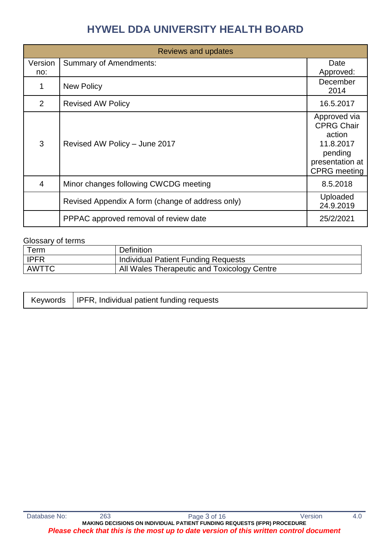| Reviews and updates |                                                  |                                                                                                               |  |
|---------------------|--------------------------------------------------|---------------------------------------------------------------------------------------------------------------|--|
| Version<br>no:      | <b>Summary of Amendments:</b>                    | Date<br>Approved:                                                                                             |  |
|                     | <b>New Policy</b>                                | December<br>2014                                                                                              |  |
| 2                   | <b>Revised AW Policy</b>                         | 16.5.2017                                                                                                     |  |
| 3                   | Revised AW Policy - June 2017                    | Approved via<br><b>CPRG Chair</b><br>action<br>11.8.2017<br>pending<br>presentation at<br><b>CPRG</b> meeting |  |
| 4                   | Minor changes following CWCDG meeting            | 8.5.2018                                                                                                      |  |
|                     | Revised Appendix A form (change of address only) | Uploaded<br>24.9.2019                                                                                         |  |
|                     | PPPAC approved removal of review date            | 25/2/2021                                                                                                     |  |

#### Glossary of terms

| Term        | <b>Definition</b>                           |
|-------------|---------------------------------------------|
| <b>IPFR</b> | Individual Patient Funding Requests         |
| AWTTC       | All Wales Therapeutic and Toxicology Centre |

|  | Keywords   IPFR, Individual patient funding requests |
|--|------------------------------------------------------|
|--|------------------------------------------------------|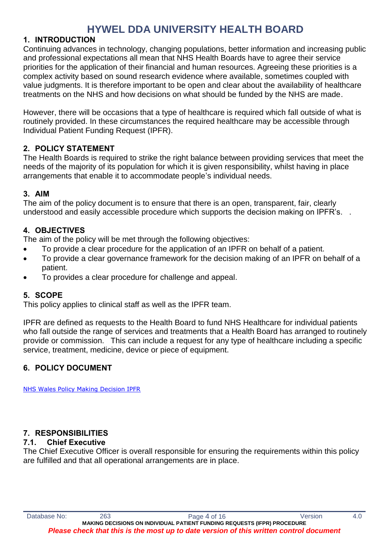# **1. INTRODUCTION**

Continuing advances in technology, changing populations, better information and increasing public and professional expectations all mean that NHS Health Boards have to agree their service priorities for the application of their financial and human resources. Agreeing these priorities is a complex activity based on sound research evidence where available, sometimes coupled with value judgments. It is therefore important to be open and clear about the availability of healthcare treatments on the NHS and how decisions on what should be funded by the NHS are made.

However, there will be occasions that a type of healthcare is required which fall outside of what is routinely provided. In these circumstances the required healthcare may be accessible through Individual Patient Funding Request (IPFR).

# **2. POLICY STATEMENT**

The Health Boards is required to strike the right balance between providing services that meet the needs of the majority of its population for which it is given responsibility, whilst having in place arrangements that enable it to accommodate people's individual needs.

# **3. AIM**

The aim of the policy document is to ensure that there is an open, transparent, fair, clearly understood and easily accessible procedure which supports the decision making on IPFR's. .

# **4. OBJECTIVES**

The aim of the policy will be met through the following objectives:

- To provide a clear procedure for the application of an IPFR on behalf of a patient.
- To provide a clear governance framework for the decision making of an IPFR on behalf of a patient.
- To provides a clear procedure for challenge and appeal.

# **5. SCOPE**

This policy applies to clinical staff as well as the IPFR team.

IPFR are defined as requests to the Health Board to fund NHS Healthcare for individual patients who fall outside the range of services and treatments that a Health Board has arranged to routinely provide or commission. This can include a request for any type of healthcare including a specific service, treatment, medicine, device or piece of equipment.

# **6. POLICY DOCUMENT**

[NHS Wales Policy Making Decision IPFR](http://howis.wales.nhs.uk/sitesplus/862/opendoc/468486)

# **7. RESPONSIBILITIES**

### **7.1. Chief Executive**

The Chief Executive Officer is overall responsible for ensuring the requirements within this policy are fulfilled and that all operational arrangements are in place.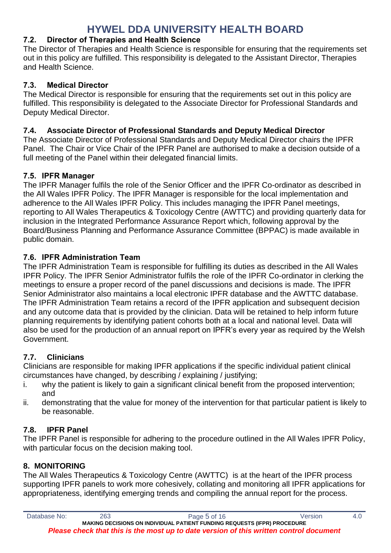# **7.2. Director of Therapies and Health Science**

The Director of Therapies and Health Science is responsible for ensuring that the requirements set out in this policy are fulfilled. This responsibility is delegated to the Assistant Director, Therapies and Health Science.

# **7.3. Medical Director**

The Medical Director is responsible for ensuring that the requirements set out in this policy are fulfilled. This responsibility is delegated to the Associate Director for Professional Standards and Deputy Medical Director.

# **7.4. Associate Director of Professional Standards and Deputy Medical Director**

The Associate Director of Professional Standards and Deputy Medical Director chairs the IPFR Panel. The Chair or Vice Chair of the IPFR Panel are authorised to make a decision outside of a full meeting of the Panel within their delegated financial limits.

# **7.5. IPFR Manager**

The IPFR Manager fulfils the role of the Senior Officer and the IPFR Co-ordinator as described in the All Wales IPFR Policy. The IPFR Manager is responsible for the local implementation and adherence to the All Wales IPFR Policy. This includes managing the IPFR Panel meetings, reporting to All Wales Therapeutics & Toxicology Centre (AWTTC) and providing quarterly data for inclusion in the Integrated Performance Assurance Report which, following approval by the Board/Business Planning and Performance Assurance Committee (BPPAC) is made available in public domain.

# **7.6. IPFR Administration Team**

The IPFR Administration Team is responsible for fulfilling its duties as described in the All Wales IPFR Policy. The IPFR Senior Administrator fulfils the role of the IPFR Co-ordinator in clerking the meetings to ensure a proper record of the panel discussions and decisions is made. The IPFR Senior Administrator also maintains a local electronic IPFR database and the AWTTC database. The IPFR Administration Team retains a record of the IPFR application and subsequent decision and any outcome data that is provided by the clinician. Data will be retained to help inform future planning requirements by identifying patient cohorts both at a local and national level. Data will also be used for the production of an annual report on IPFR's every year as required by the Welsh Government.

# **7.7. Clinicians**

Clinicians are responsible for making IPFR applications if the specific individual patient clinical circumstances have changed, by describing / explaining / justifying;

- i. why the patient is likely to gain a significant clinical benefit from the proposed intervention; and
- ii. demonstrating that the value for money of the intervention for that particular patient is likely to be reasonable.

# **7.8. IPFR Panel**

The IPFR Panel is responsible for adhering to the procedure outlined in the All Wales IPFR Policy, with particular focus on the decision making tool.

### **8. MONITORING**

The All Wales Therapeutics & Toxicology Centre (AWTTC) is at the heart of the IPFR process supporting IPFR panels to work more cohesively, collating and monitoring all IPFR applications for appropriateness, identifying emerging trends and compiling the annual report for the process.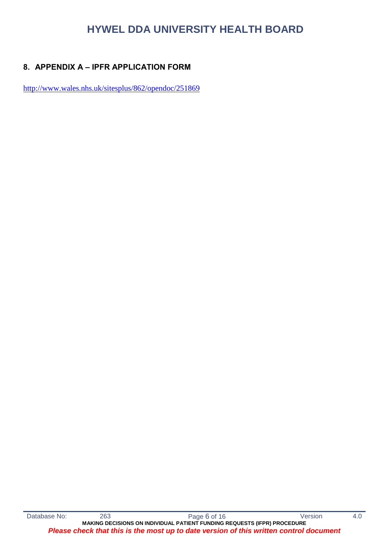# **8. APPENDIX A – IPFR APPLICATION FORM**

<http://www.wales.nhs.uk/sitesplus/862/opendoc/251869>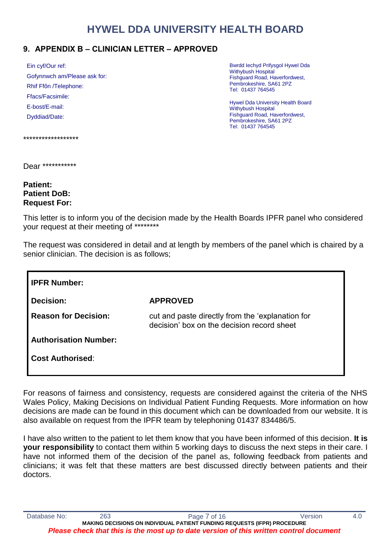# **9. APPENDIX B – CLINICIAN LETTER – APPROVED**

| Ein cyf/Our ref:             |
|------------------------------|
| Gofynnwch am/Please ask for: |
| Rhif Ffôn /Telephone:        |
| Ffacs/Facsimile:             |
| E-bost/E-mail:               |
| Dyddiad/Date:                |
|                              |

Bwrdd Iechyd Prifysgol Hywel Dda Withybush Hospital Fishguard Road, Haverfordwest, Pembrokeshire, SA61 2PZ Tel: 01437 764545

Hywel Dda University Health Board Withybush Hospital Fishguard Road, Haverfordwest, Pembrokeshire, SA61 2PZ Tel: 01437 764545

\*\*\*\*\*\*\*\*\*\*\*\*\*\*\*\*\*\*

Dear \*\*\*\*\*\*\*\*\*\*\*\*

#### **Patient: Patient DoB: Request For:**

This letter is to inform you of the decision made by the Health Boards IPFR panel who considered your request at their meeting of \*\*\*\*\*\*\*\*

The request was considered in detail and at length by members of the panel which is chaired by a senior clinician. The decision is as follows;

| <b>I IPFR Number:</b>        |                                                                                                |  |
|------------------------------|------------------------------------------------------------------------------------------------|--|
| Decision:                    | <b>APPROVED</b>                                                                                |  |
| <b>Reason for Decision:</b>  | cut and paste directly from the 'explanation for<br>decision' box on the decision record sheet |  |
| <b>Authorisation Number:</b> |                                                                                                |  |
| Ⅰ Cost Authorised∶           |                                                                                                |  |

For reasons of fairness and consistency, requests are considered against the criteria of the NHS Wales Policy, Making Decisions on Individual Patient Funding Requests. More information on how decisions are made can be found in this document which can be downloaded from our website. It is also available on request from the IPFR team by telephoning 01437 834486/5.

I have also written to the patient to let them know that you have been informed of this decision. **It is your responsibility** to contact them within 5 working days to discuss the next steps in their care. I have not informed them of the decision of the panel as, following feedback from patients and clinicians; it was felt that these matters are best discussed directly between patients and their doctors.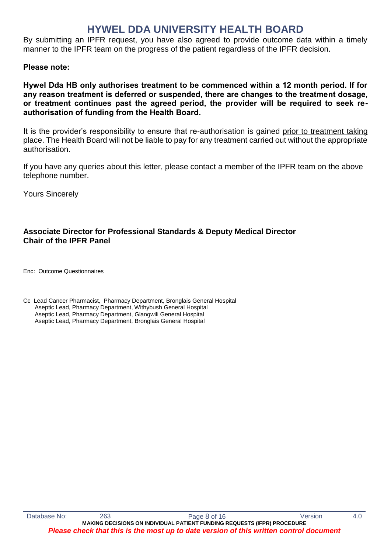By submitting an IPFR request, you have also agreed to provide outcome data within a timely manner to the IPFR team on the progress of the patient regardless of the IPFR decision.

#### **Please note:**

**Hywel Dda HB only authorises treatment to be commenced within a 12 month period. If for any reason treatment is deferred or suspended, there are changes to the treatment dosage, or treatment continues past the agreed period, the provider will be required to seek reauthorisation of funding from the Health Board.**

It is the provider's responsibility to ensure that re-authorisation is gained prior to treatment taking place. The Health Board will not be liable to pay for any treatment carried out without the appropriate authorisation.

If you have any queries about this letter, please contact a member of the IPFR team on the above telephone number.

Yours Sincerely

### **Associate Director for Professional Standards & Deputy Medical Director Chair of the IPFR Panel**

Enc: Outcome Questionnaires

Cc Lead Cancer Pharmacist, Pharmacy Department, Bronglais General Hospital Aseptic Lead, Pharmacy Department, Withybush General Hospital Aseptic Lead, Pharmacy Department, Glangwili General Hospital Aseptic Lead, Pharmacy Department, Bronglais General Hospital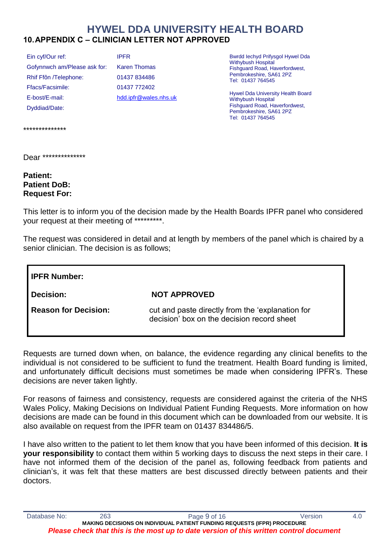# **HYWEL DDA UNIVERSITY HEALTH BOARD 10.APPENDIX C – CLINICIAN LETTER NOT APPROVED**

Ein cyf/Our ref: Gofynnwch am/Please ask for: Rhif Ffôn /Telephone: Ffacs/Facsimile: E-bost/E-mail: Dyddiad/Date:

IPFR Karen Thomas 01437 834486 01437 772402 [hdd.ipfr@wales.nhs.uk](mailto:hdd.ipfr@wales.nhs.uk) Bwrdd Iechyd Prifysgol Hywel Dda Withybush Hospital Fishguard Road, Haverfordwest, Pembrokeshire, SA61 2PZ Tel: 01437 764545

Hywel Dda University Health Board Withybush Hospital Fishguard Road, Haverfordwest, Pembrokeshire, SA61 2PZ Tel: 01437 764545

\*\*\*\*\*\*\*\*\*\*\*\*\*\*

Dear \*\*\*\*\*\*\*\*\*\*\*\*\*\*

**Patient: Patient DoB: Request For:**

This letter is to inform you of the decision made by the Health Boards IPFR panel who considered your request at their meeting of \*\*\*\*\*\*\*\*\*.

The request was considered in detail and at length by members of the panel which is chaired by a senior clinician. The decision is as follows;

**IPFR Number: Decision: NOT APPROVED Reason for Decision:** cut and paste directly from the 'explanation for decision' box on the decision record sheet

Requests are turned down when, on balance, the evidence regarding any clinical benefits to the individual is not considered to be sufficient to fund the treatment. Health Board funding is limited, and unfortunately difficult decisions must sometimes be made when considering IPFR's. These decisions are never taken lightly.

For reasons of fairness and consistency, requests are considered against the criteria of the NHS Wales Policy, Making Decisions on Individual Patient Funding Requests. More information on how decisions are made can be found in this document which can be downloaded from our website. It is also available on request from the IPFR team on 01437 834486/5.

I have also written to the patient to let them know that you have been informed of this decision. **It is your responsibility** to contact them within 5 working days to discuss the next steps in their care. I have not informed them of the decision of the panel as, following feedback from patients and clinician's, it was felt that these matters are best discussed directly between patients and their doctors.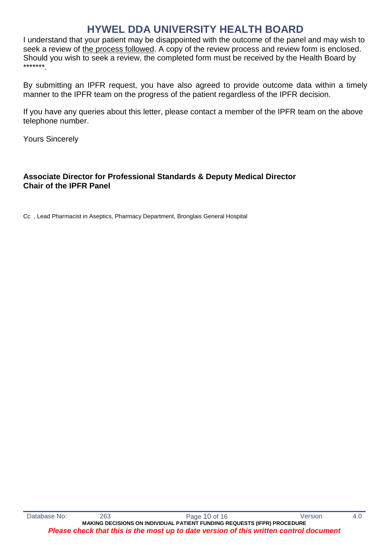I understand that your patient may be disappointed with the outcome of the panel and may wish to seek a review of the process followed. A copy of the review process and review form is enclosed. Should you wish to seek a review, the completed form must be received by the Health Board by \*\*\*\*\*\*\*.

By submitting an IPFR request, you have also agreed to provide outcome data within a timely manner to the IPFR team on the progress of the patient regardless of the IPFR decision.

If you have any queries about this letter, please contact a member of the IPFR team on the above telephone number.

Yours Sincerely

# **Associate Director for Professional Standards & Deputy Medical Director Chair of the IPFR Panel**

Cc , Lead Pharmacist in Aseptics, Pharmacy Department, Bronglais General Hospital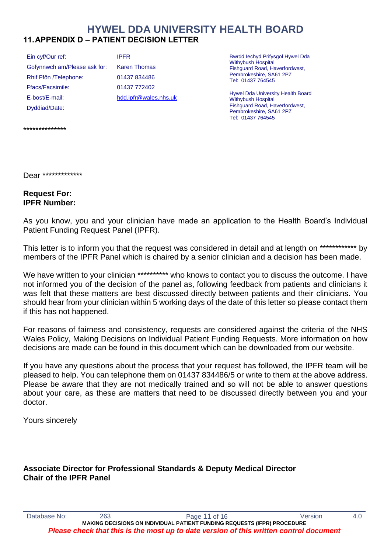# **HYWEL DDA UNIVERSITY HEALTH BOARD 11.APPENDIX D – PATIENT DECISION LETTER**

Ein cyf/Our ref: Gofynnwch am/Please ask for: Rhif Ffôn /Telephone: Ffacs/Facsimile: E-bost/E-mail: Dyddiad/Date:

IPFR Karen Thomas 01437 834486 01437 772402 [hdd.ipfr@wales.nhs.uk](mailto:hdd.ipfr@wales.nhs.uk) Bwrdd Iechyd Prifysgol Hywel Dda Withybush Hospital Fishguard Road, Haverfordwest, Pembrokeshire, SA61 2PZ Tel: 01437 764545

Hywel Dda University Health Board Withybush Hospital Fishguard Road, Haverfordwest, Pembrokeshire, SA61 2PZ Tel: 01437 764545

\*\*\*\*\*\*\*\*\*\*\*\*\*\*

Dear \*\*\*\*\*\*\*\*\*\*\*\*\*

#### **Request For: IPFR Number:**

As you know, you and your clinician have made an application to the Health Board's Individual Patient Funding Request Panel (IPFR).

This letter is to inform you that the request was considered in detail and at length on \*\*\*\*\*\*\*\*\*\*\*\*\* by members of the IPFR Panel which is chaired by a senior clinician and a decision has been made.

We have written to your clinician \*\*\*\*\*\*\*\*\*\* who knows to contact you to discuss the outcome. I have not informed you of the decision of the panel as, following feedback from patients and clinicians it was felt that these matters are best discussed directly between patients and their clinicians. You should hear from your clinician within 5 working days of the date of this letter so please contact them if this has not happened.

For reasons of fairness and consistency, requests are considered against the criteria of the NHS Wales Policy, Making Decisions on Individual Patient Funding Requests. More information on how decisions are made can be found in this document which can be downloaded from our website.

If you have any questions about the process that your request has followed, the IPFR team will be pleased to help. You can telephone them on 01437 834486/5 or write to them at the above address. Please be aware that they are not medically trained and so will not be able to answer questions about your care, as these are matters that need to be discussed directly between you and your doctor.

Yours sincerely

# **Associate Director for Professional Standards & Deputy Medical Director Chair of the IPFR Panel**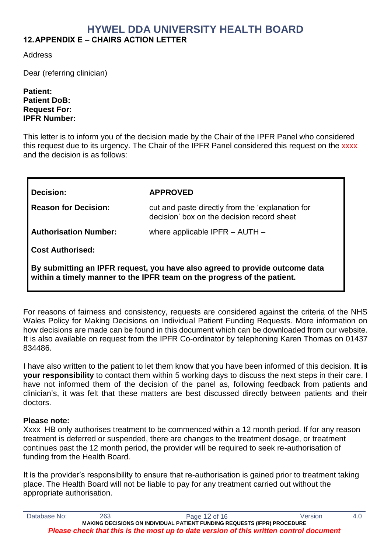# **HYWEL DDA UNIVERSITY HEALTH BOARD 12.APPENDIX E – CHAIRS ACTION LETTER**

Address

Dear (referring clinician)

#### **Patient: Patient DoB: Request For: IPFR Number:**

This letter is to inform you of the decision made by the Chair of the IPFR Panel who considered this request due to its urgency. The Chair of the IPFR Panel considered this request on the xxxx and the decision is as follows:

| Decision:                                                                                                                                              | <b>APPROVED</b>                                                                                |  |
|--------------------------------------------------------------------------------------------------------------------------------------------------------|------------------------------------------------------------------------------------------------|--|
| <b>Reason for Decision:</b>                                                                                                                            | cut and paste directly from the 'explanation for<br>decision' box on the decision record sheet |  |
| <b>Authorisation Number:</b>                                                                                                                           | where applicable IPFR $-$ AUTH $-$                                                             |  |
| <b>Cost Authorised:</b>                                                                                                                                |                                                                                                |  |
| By submitting an IPFR request, you have also agreed to provide outcome data<br>within a timely manner to the IPFR team on the progress of the patient. |                                                                                                |  |

For reasons of fairness and consistency, requests are considered against the criteria of the NHS Wales Policy for Making Decisions on Individual Patient Funding Requests. More information on how decisions are made can be found in this document which can be downloaded from our website. It is also available on request from the IPFR Co-ordinator by telephoning Karen Thomas on 01437 834486.

I have also written to the patient to let them know that you have been informed of this decision. **It is your responsibility** to contact them within 5 working days to discuss the next steps in their care. I have not informed them of the decision of the panel as, following feedback from patients and clinician's, it was felt that these matters are best discussed directly between patients and their doctors.

### **Please note:**

Xxxx HB only authorises treatment to be commenced within a 12 month period. If for any reason treatment is deferred or suspended, there are changes to the treatment dosage, or treatment continues past the 12 month period, the provider will be required to seek re-authorisation of funding from the Health Board.

It is the provider's responsibility to ensure that re-authorisation is gained prior to treatment taking place. The Health Board will not be liable to pay for any treatment carried out without the appropriate authorisation.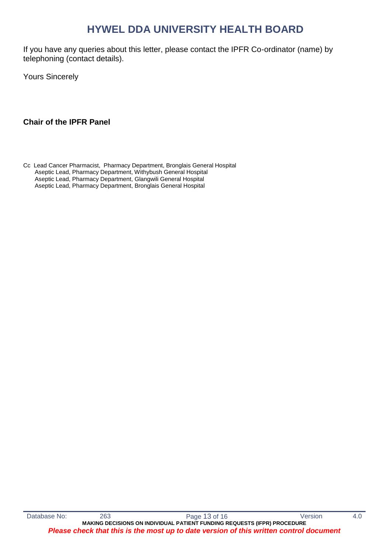If you have any queries about this letter, please contact the IPFR Co-ordinator (name) by telephoning (contact details).

Yours Sincerely

### **Chair of the IPFR Panel**

Cc Lead Cancer Pharmacist, Pharmacy Department, Bronglais General Hospital Aseptic Lead, Pharmacy Department, Withybush General Hospital Aseptic Lead, Pharmacy Department, Glangwili General Hospital Aseptic Lead, Pharmacy Department, Bronglais General Hospital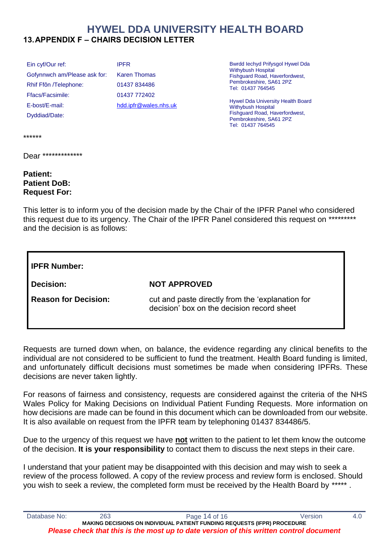# **HYWEL DDA UNIVERSITY HEALTH BOARD 13.APPENDIX F – CHAIRS DECISION LETTER**

Ein cyf/Our ref: Gofynnwch am/Please ask for: Rhif Ffôn /Telephone: Ffacs/Facsimile: E-bost/E-mail: Dyddiad/Date:

IPFR Karen Thomas 01437 834486 01437 772402 [hdd.ipfr@wales.nhs.uk](mailto:hdd.ipfr@wales.nhs.uk) Bwrdd Iechyd Prifysgol Hywel Dda Withybush Hospital Fishguard Road, Haverfordwest, Pembrokeshire, SA61 2PZ Tel: 01437 764545

Hywel Dda University Health Board Withybush Hospital Fishguard Road, Haverfordwest, Pembrokeshire, SA61 2PZ Tel: 01437 764545

\*\*\*\*\*\*

Dear \*\*\*\*\*\*\*\*\*\*\*\*\*

# **Patient: Patient DoB: Request For:**

This letter is to inform you of the decision made by the Chair of the IPFR Panel who considered this request due to its urgency. The Chair of the IPFR Panel considered this request on \*\*\*\*\*\*\*\*\*\* and the decision is as follows:

| I IPFR Number:       |                                                                                                |  |
|----------------------|------------------------------------------------------------------------------------------------|--|
| Decision:            | <b>NOT APPROVED</b>                                                                            |  |
| Reason for Decision: | cut and paste directly from the 'explanation for<br>decision' box on the decision record sheet |  |

Requests are turned down when, on balance, the evidence regarding any clinical benefits to the individual are not considered to be sufficient to fund the treatment. Health Board funding is limited, and unfortunately difficult decisions must sometimes be made when considering IPFRs. These decisions are never taken lightly.

For reasons of fairness and consistency, requests are considered against the criteria of the NHS Wales Policy for Making Decisions on Individual Patient Funding Requests. More information on how decisions are made can be found in this document which can be downloaded from our website. It is also available on request from the IPFR team by telephoning 01437 834486/5.

Due to the urgency of this request we have **not** written to the patient to let them know the outcome of the decision. **It is your responsibility** to contact them to discuss the next steps in their care.

I understand that your patient may be disappointed with this decision and may wish to seek a review of the process followed. A copy of the review process and review form is enclosed. Should you wish to seek a review, the completed form must be received by the Health Board by \*\*\*\*\*.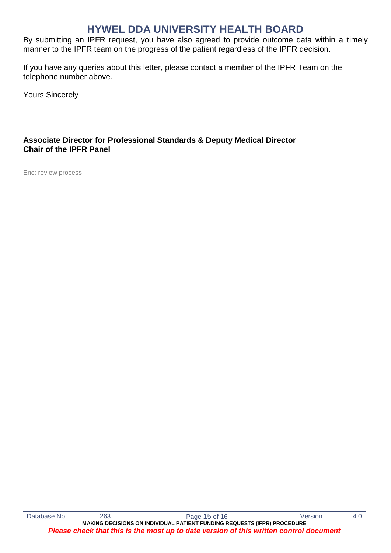By submitting an IPFR request, you have also agreed to provide outcome data within a timely manner to the IPFR team on the progress of the patient regardless of the IPFR decision.

If you have any queries about this letter, please contact a member of the IPFR Team on the telephone number above.

Yours Sincerely

# **Associate Director for Professional Standards & Deputy Medical Director Chair of the IPFR Panel**

Enc: review process